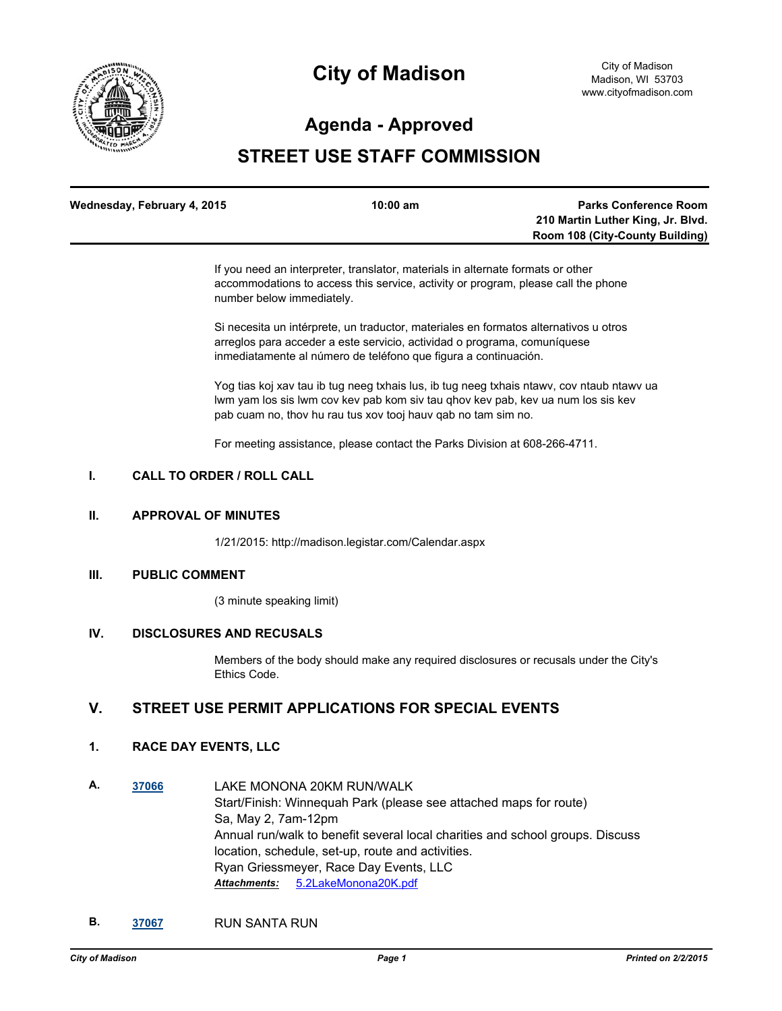

# **Agenda - Approved**

# **STREET USE STAFF COMMISSION**

| Wednesday, February 4, 2015 | $10:00 \text{ am}$ | <b>Parks Conference Room</b>           |
|-----------------------------|--------------------|----------------------------------------|
|                             |                    | 210 Martin Luther King, Jr. Blvd.      |
|                             |                    | <b>Room 108 (City-County Building)</b> |

If you need an interpreter, translator, materials in alternate formats or other accommodations to access this service, activity or program, please call the phone number below immediately.

Si necesita un intérprete, un traductor, materiales en formatos alternativos u otros arreglos para acceder a este servicio, actividad o programa, comuníquese inmediatamente al número de teléfono que figura a continuación.

Yog tias koj xav tau ib tug neeg txhais lus, ib tug neeg txhais ntawv, cov ntaub ntawv ua lwm yam los sis lwm cov kev pab kom siv tau qhov kev pab, kev ua num los sis kev pab cuam no, thov hu rau tus xov tooj hauv qab no tam sim no.

For meeting assistance, please contact the Parks Division at 608-266-4711.

### **I. CALL TO ORDER / ROLL CALL**

### **II. APPROVAL OF MINUTES**

1/21/2015: http://madison.legistar.com/Calendar.aspx

## **III. PUBLIC COMMENT**

(3 minute speaking limit)

## **IV. DISCLOSURES AND RECUSALS**

Members of the body should make any required disclosures or recusals under the City's Ethics Code.

## **V. STREET USE PERMIT APPLICATIONS FOR SPECIAL EVENTS**

### **1. RACE DAY EVENTS, LLC**

- **A. [37066](http://madison.legistar.com/gateway.aspx?m=l&id=/matter.aspx?key=39922)** LAKE MONONA 20KM RUN/WALK Start/Finish: Winnequah Park (please see attached maps for route) Sa, May 2, 7am-12pm Annual run/walk to benefit several local charities and school groups. Discuss location, schedule, set-up, route and activities. Ryan Griessmeyer, Race Day Events, LLC *Attachments:* [5.2LakeMonona20K.pdf](http://madison.legistar.com/gateway.aspx?M=F&ID=2f09a4b8-fc68-490a-adec-9f69b38c0625.pdf)
- **B. [37067](http://madison.legistar.com/gateway.aspx?m=l&id=/matter.aspx?key=39923)** RUN SANTA RUN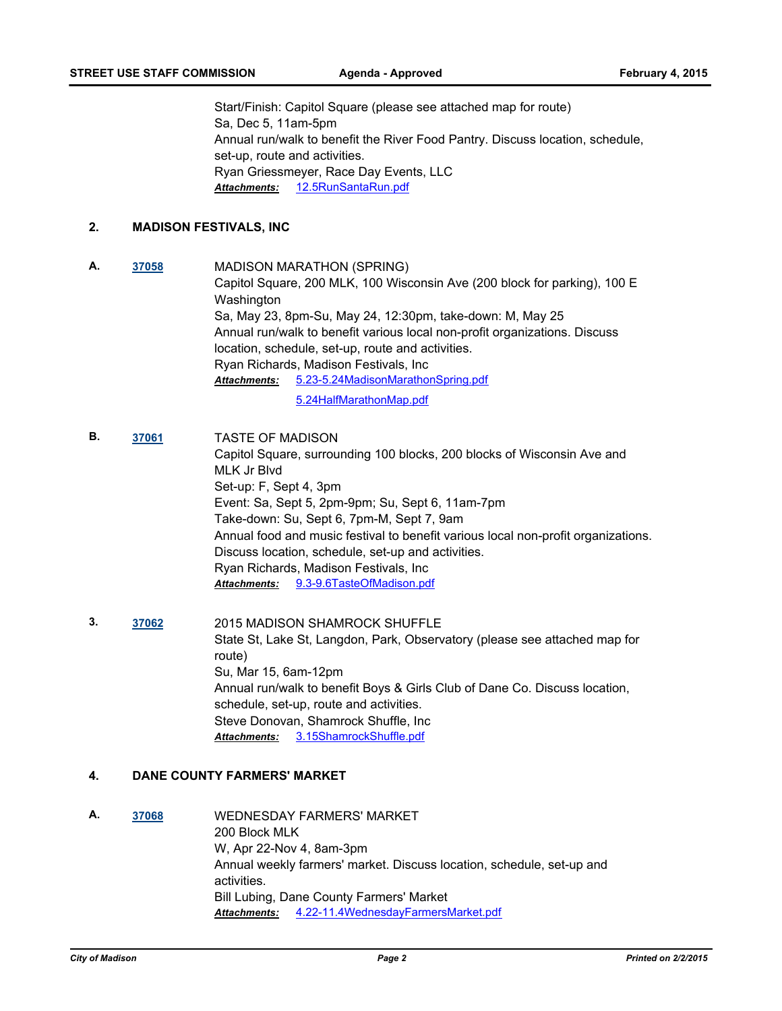Start/Finish: Capitol Square (please see attached map for route) Sa, Dec 5, 11am-5pm Annual run/walk to benefit the River Food Pantry. Discuss location, schedule, set-up, route and activities. Ryan Griessmeyer, Race Day Events, LLC *Attachments:* [12.5RunSantaRun.pdf](http://madison.legistar.com/gateway.aspx?M=F&ID=ab273d0d-bbf5-4e6e-a1dc-a55950cc700f.pdf)

## **2. MADISON FESTIVALS, INC**

- **A. [37058](http://madison.legistar.com/gateway.aspx?m=l&id=/matter.aspx?key=39914)** MADISON MARATHON (SPRING) Capitol Square, 200 MLK, 100 Wisconsin Ave (200 block for parking), 100 E Washington Sa, May 23, 8pm-Su, May 24, 12:30pm, take-down: M, May 25 Annual run/walk to benefit various local non-profit organizations. Discuss location, schedule, set-up, route and activities. Ryan Richards, Madison Festivals, Inc [5.23-5.24MadisonMarathonSpring.pdf](http://madison.legistar.com/gateway.aspx?M=F&ID=1280fe07-fd74-4bea-86e1-d54577ce6bb4.pdf) *Attachments:* [5.24HalfMarathonMap.pdf](http://madison.legistar.com/gateway.aspx?M=F&ID=851ce8f7-e136-45dd-9cf8-7995ffaf18f4.pdf)
- **B. [37061](http://madison.legistar.com/gateway.aspx?m=l&id=/matter.aspx?key=39917)** TASTE OF MADISON Capitol Square, surrounding 100 blocks, 200 blocks of Wisconsin Ave and MLK Jr Blvd Set-up: F, Sept 4, 3pm Event: Sa, Sept 5, 2pm-9pm; Su, Sept 6, 11am-7pm Take-down: Su, Sept 6, 7pm-M, Sept 7, 9am Annual food and music festival to benefit various local non-profit organizations. Discuss location, schedule, set-up and activities. Ryan Richards, Madison Festivals, Inc *Attachments:* [9.3-9.6TasteOfMadison.pdf](http://madison.legistar.com/gateway.aspx?M=F&ID=1ceabe4d-9f6f-44ad-9d06-ebbc75bd262b.pdf)
- **3. [37062](http://madison.legistar.com/gateway.aspx?m=l&id=/matter.aspx?key=39918)** 2015 MADISON SHAMROCK SHUFFLE State St, Lake St, Langdon, Park, Observatory (please see attached map for route) Su, Mar 15, 6am-12pm Annual run/walk to benefit Boys & Girls Club of Dane Co. Discuss location, schedule, set-up, route and activities. Steve Donovan, Shamrock Shuffle, Inc *Attachments:* [3.15ShamrockShuffle.pdf](http://madison.legistar.com/gateway.aspx?M=F&ID=f4327c70-154c-4aa2-9b36-cd93aa5f4e9e.pdf)

## **4. DANE COUNTY FARMERS' MARKET**

**A. [37068](http://madison.legistar.com/gateway.aspx?m=l&id=/matter.aspx?key=39924)** WEDNESDAY FARMERS' MARKET 200 Block MLK W, Apr 22-Nov 4, 8am-3pm Annual weekly farmers' market. Discuss location, schedule, set-up and activities. Bill Lubing, Dane County Farmers' Market *Attachments:* [4.22-11.4WednesdayFarmersMarket.pdf](http://madison.legistar.com/gateway.aspx?M=F&ID=549e261f-63f6-489e-9ea3-6d46c0d35489.pdf)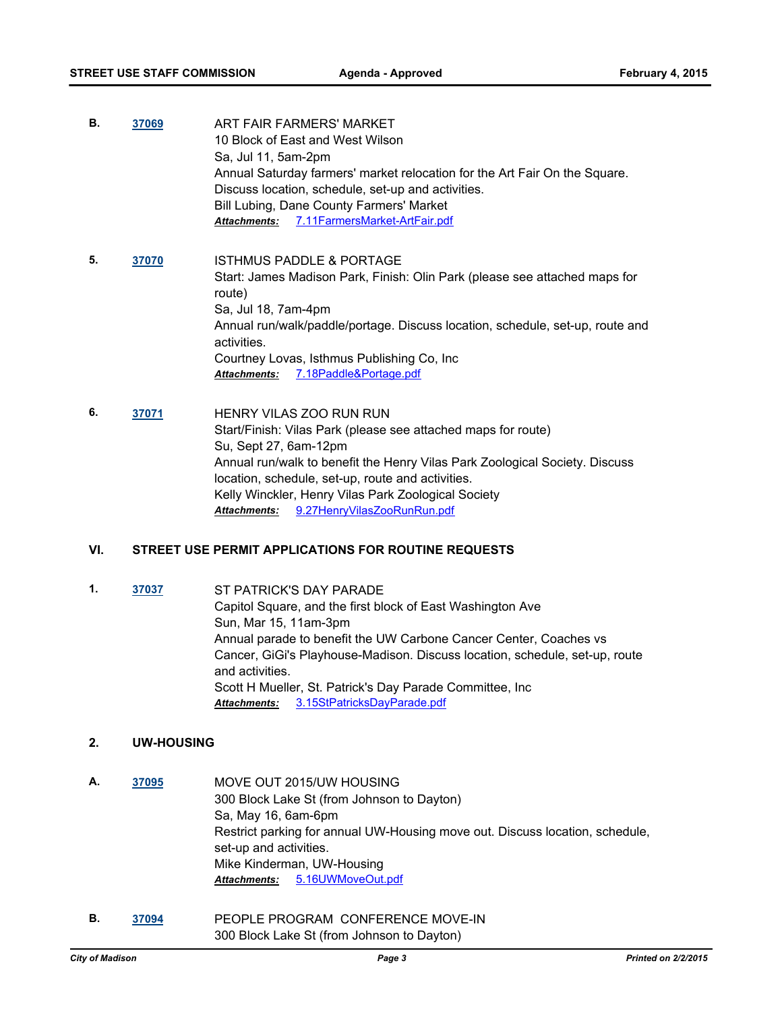- **B. [37069](http://madison.legistar.com/gateway.aspx?m=l&id=/matter.aspx?key=39925)** ART FAIR FARMERS' MARKET 10 Block of East and West Wilson Sa, Jul 11, 5am-2pm Annual Saturday farmers' market relocation for the Art Fair On the Square. Discuss location, schedule, set-up and activities. Bill Lubing, Dane County Farmers' Market *Attachments:* [7.11FarmersMarket-ArtFair.pdf](http://madison.legistar.com/gateway.aspx?M=F&ID=e37c565e-3759-495b-a3de-5b43dac00e25.pdf)
- **5. [37070](http://madison.legistar.com/gateway.aspx?m=l&id=/matter.aspx?key=39926)** ISTHMUS PADDLE & PORTAGE Start: James Madison Park, Finish: Olin Park (please see attached maps for route) Sa, Jul 18, 7am-4pm Annual run/walk/paddle/portage. Discuss location, schedule, set-up, route and activities. Courtney Lovas, Isthmus Publishing Co, Inc *Attachments:* [7.18Paddle&Portage.pdf](http://madison.legistar.com/gateway.aspx?M=F&ID=9ce37ce1-a954-4a95-b63c-7e60bbcb54c2.pdf)
- **6. [37071](http://madison.legistar.com/gateway.aspx?m=l&id=/matter.aspx?key=39927)** HENRY VILAS ZOO RUN RUN Start/Finish: Vilas Park (please see attached maps for route) Su, Sept 27, 6am-12pm Annual run/walk to benefit the Henry Vilas Park Zoological Society. Discuss location, schedule, set-up, route and activities. Kelly Winckler, Henry Vilas Park Zoological Society *Attachments:* [9.27HenryVilasZooRunRun.pdf](http://madison.legistar.com/gateway.aspx?M=F&ID=63cdc3c4-6a9d-4a64-82f1-9182987d9288.pdf)

#### **VI. STREET USE PERMIT APPLICATIONS FOR ROUTINE REQUESTS**

**1. [37037](http://madison.legistar.com/gateway.aspx?m=l&id=/matter.aspx?key=39909)** ST PATRICK'S DAY PARADE Capitol Square, and the first block of East Washington Ave Sun, Mar 15, 11am-3pm Annual parade to benefit the UW Carbone Cancer Center, Coaches vs Cancer, GiGi's Playhouse-Madison. Discuss location, schedule, set-up, route and activities. Scott H Mueller, St. Patrick's Day Parade Committee, Inc *Attachments:* [3.15StPatricksDayParade.pdf](http://madison.legistar.com/gateway.aspx?M=F&ID=54adccd3-5fca-4f54-913c-fa104704f5e9.pdf)

#### **2. UW-HOUSING**

- **A. [37095](http://madison.legistar.com/gateway.aspx?m=l&id=/matter.aspx?key=39949)** MOVE OUT 2015/UW HOUSING 300 Block Lake St (from Johnson to Dayton) Sa, May 16, 6am-6pm Restrict parking for annual UW-Housing move out. Discuss location, schedule, set-up and activities. Mike Kinderman, UW-Housing *Attachments:* [5.16UWMoveOut.pdf](http://madison.legistar.com/gateway.aspx?M=F&ID=d1b9acee-c3a9-4857-9e9b-4abccd54db5b.pdf)
- **B. [37094](http://madison.legistar.com/gateway.aspx?m=l&id=/matter.aspx?key=39948)** PEOPLE PROGRAM CONFERENCE MOVE-IN 300 Block Lake St (from Johnson to Dayton)